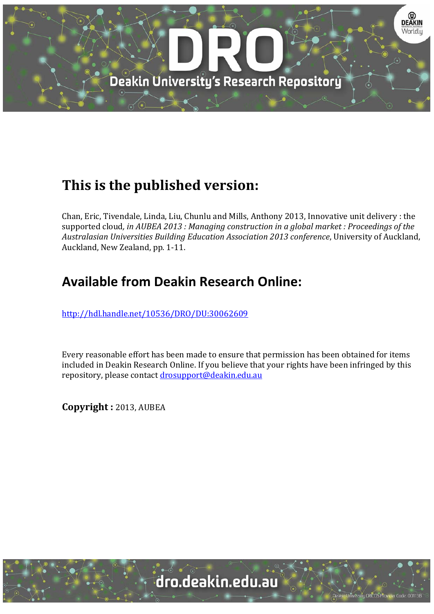

# **This is the published version:**

Chan, Eric, Tivendale, Linda, Liu, Chunlu and Mills, Anthony 2013, Innovative unit delivery : the supported cloud*, in AUBEA 2013 : Managing construction in a global market : Proceedings of the Australasian Universities Building Education Association 2013 conference*, University of Auckland, Auckland, New Zealand, pp. 1-11.

# **Available from Deakin Research Online:**

http://hdl.handle.net/10536/DRO/DU:30062609

Every reasonable effort has been made to ensure that permission has been obtained for items included in Deakin Research Online. If you believe that your rights have been infringed by this repository, please contact drosupport@deakin.edu.au

**Copyright :** 2013, AUBEA 

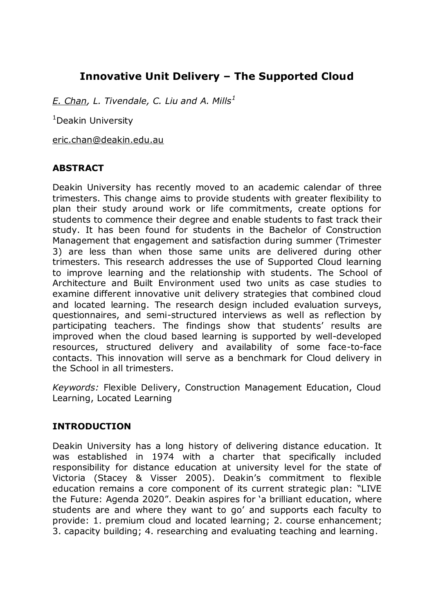# **Innovative Unit Delivery – The Supported Cloud**

*E. Chan, L. Tivendale, C. Liu and A. Mills<sup>1</sup>*

<sup>1</sup>Deakin University

[eric.chan@deakin.edu.au](mailto:eric.chan@deakin.edu.au)

#### **ABSTRACT**

Deakin University has recently moved to an academic calendar of three trimesters. This change aims to provide students with greater flexibility to plan their study around work or life commitments, create options for students to commence their degree and enable students to fast track their study. It has been found for students in the Bachelor of Construction Management that engagement and satisfaction during summer (Trimester 3) are less than when those same units are delivered during other trimesters. This research addresses the use of Supported Cloud learning to improve learning and the relationship with students. The School of Architecture and Built Environment used two units as case studies to examine different innovative unit delivery strategies that combined cloud and located learning. The research design included evaluation surveys, questionnaires, and semi-structured interviews as well as reflection by participating teachers. The findings show that students' results are improved when the cloud based learning is supported by well-developed resources, structured delivery and availability of some face-to-face contacts. This innovation will serve as a benchmark for Cloud delivery in the School in all trimesters.

*Keywords:* Flexible Delivery, Construction Management Education, Cloud Learning, Located Learning

# **INTRODUCTION**

Deakin University has a long history of delivering distance education. It was established in 1974 with a charter that specifically included responsibility for distance education at university level for the state of Victoria (Stacey & Visser 2005). Deakin's commitment to flexible education remains a core component of its current strategic plan: "LIVE the Future: Agenda 2020". Deakin aspires for 'a brilliant education, where students are and where they want to go' and supports each faculty to provide: 1. premium cloud and located learning; 2. course enhancement; 3. capacity building; 4. researching and evaluating teaching and learning.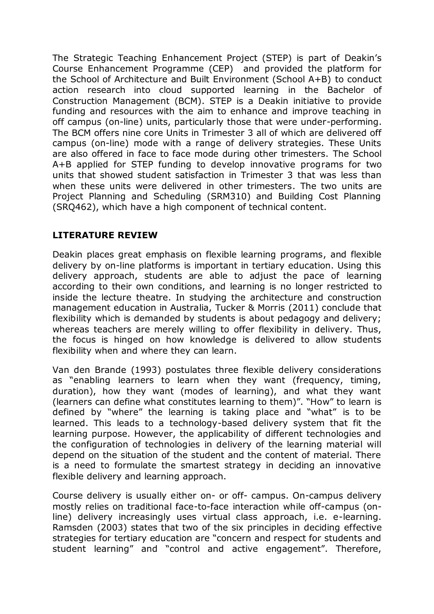The Strategic Teaching Enhancement Project (STEP) is part of Deakin's Course Enhancement Programme (CEP) and provided the platform for the School of Architecture and Built Environment (School A+B) to conduct action research into cloud supported learning in the Bachelor of Construction Management (BCM). STEP is a Deakin initiative to provide funding and resources with the aim to enhance and improve teaching in off campus (on-line) units, particularly those that were under-performing. The BCM offers nine core Units in Trimester 3 all of which are delivered off campus (on-line) mode with a range of delivery strategies. These Units are also offered in face to face mode during other trimesters. The School A+B applied for STEP funding to develop innovative programs for two units that showed student satisfaction in Trimester 3 that was less than when these units were delivered in other trimesters. The two units are Project Planning and Scheduling (SRM310) and Building Cost Planning (SRQ462), which have a high component of technical content.

# **LITERATURE REVIEW**

Deakin places great emphasis on flexible learning programs, and flexible delivery by on-line platforms is important in tertiary education. Using this delivery approach, students are able to adjust the pace of learning according to their own conditions, and learning is no longer restricted to inside the lecture theatre. In studying the architecture and construction management education in Australia, Tucker & Morris (2011) conclude that flexibility which is demanded by students is about pedagogy and delivery; whereas teachers are merely willing to offer flexibility in delivery. Thus, the focus is hinged on how knowledge is delivered to allow students flexibility when and where they can learn.

Van den Brande (1993) postulates three flexible delivery considerations as "enabling learners to learn when they want (frequency, timing, duration), how they want (modes of learning), and what they want (learners can define what constitutes learning to them)". "How" to learn is defined by "where" the learning is taking place and "what" is to be learned. This leads to a technology-based delivery system that fit the learning purpose. However, the applicability of different technologies and the configuration of technologies in delivery of the learning material will depend on the situation of the student and the content of material. There is a need to formulate the smartest strategy in deciding an innovative flexible delivery and learning approach.

Course delivery is usually either on- or off- campus. On-campus delivery mostly relies on traditional face-to-face interaction while off-campus (online) delivery increasingly uses virtual class approach, i.e. e-learning. Ramsden (2003) states that two of the six principles in deciding effective strategies for tertiary education are "concern and respect for students and student learning" and "control and active engagement". Therefore,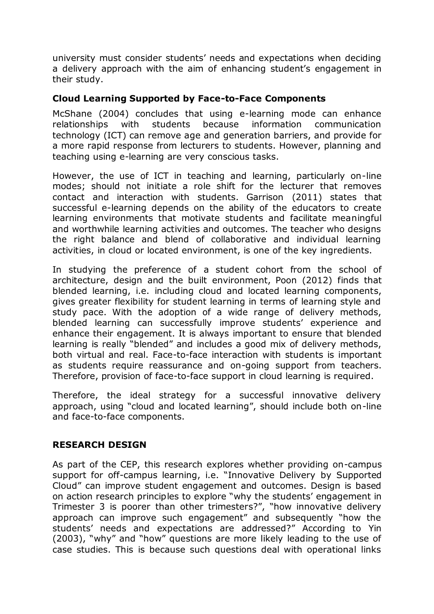university must consider students' needs and expectations when deciding a delivery approach with the aim of enhancing student's engagement in their study.

#### **Cloud Learning Supported by Face-to-Face Components**

McShane (2004) concludes that using e-learning mode can enhance relationships with students because information communication technology (ICT) can remove age and generation barriers, and provide for a more rapid response from lecturers to students. However, planning and teaching using e-learning are very conscious tasks.

However, the use of ICT in teaching and learning, particularly on-line modes; should not initiate a role shift for the lecturer that removes contact and interaction with students. Garrison (2011) states that successful e-learning depends on the ability of the educators to create learning environments that motivate students and facilitate meaningful and worthwhile learning activities and outcomes. The teacher who designs the right balance and blend of collaborative and individual learning activities, in cloud or located environment, is one of the key ingredients.

In studying the preference of a student cohort from the school of architecture, design and the built environment, Poon (2012) finds that blended learning, i.e. including cloud and located learning components, gives greater flexibility for student learning in terms of learning style and study pace. With the adoption of a wide range of delivery methods, blended learning can successfully improve students' experience and enhance their engagement. It is always important to ensure that blended learning is really "blended" and includes a good mix of delivery methods, both virtual and real. Face-to-face interaction with students is important as students require reassurance and on-going support from teachers. Therefore, provision of face-to-face support in cloud learning is required.

Therefore, the ideal strategy for a successful innovative delivery approach, using "cloud and located learning", should include both on-line and face-to-face components.

#### **RESEARCH DESIGN**

As part of the CEP, this research explores whether providing on-campus support for off-campus learning, i.e. "Innovative Delivery by Supported Cloud" can improve student engagement and outcomes. Design is based on action research principles to explore "why the students' engagement in Trimester 3 is poorer than other trimesters?", "how innovative delivery approach can improve such engagement" and subsequently "how the students' needs and expectations are addressed?" According to Yin (2003), "why" and "how" questions are more likely leading to the use of case studies. This is because such questions deal with operational links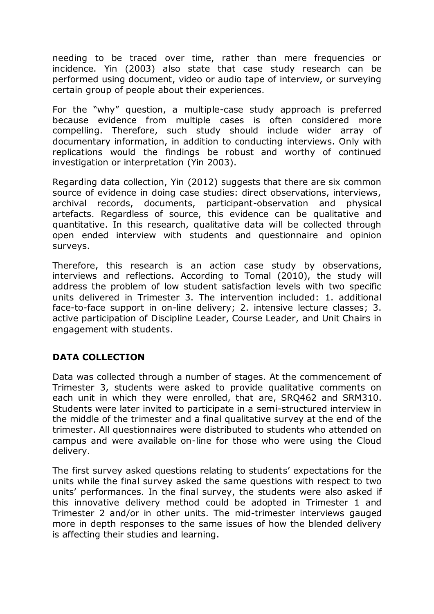needing to be traced over time, rather than mere frequencies or incidence. Yin (2003) also state that case study research can be performed using document, video or audio tape of interview, or surveying certain group of people about their experiences.

For the "why" question, a multiple-case study approach is preferred because evidence from multiple cases is often considered more compelling. Therefore, such study should include wider array of documentary information, in addition to conducting interviews. Only with replications would the findings be robust and worthy of continued investigation or interpretation (Yin 2003).

Regarding data collection, Yin (2012) suggests that there are six common source of evidence in doing case studies: direct observations, interviews, archival records, documents, participant-observation and physical artefacts. Regardless of source, this evidence can be qualitative and quantitative. In this research, qualitative data will be collected through open ended interview with students and questionnaire and opinion surveys.

Therefore, this research is an action case study by observations, interviews and reflections. According to Tomal (2010), the study will address the problem of low student satisfaction levels with two specific units delivered in Trimester 3. The intervention included: 1. additional face-to-face support in on-line delivery; 2. intensive lecture classes; 3. active participation of Discipline Leader, Course Leader, and Unit Chairs in engagement with students.

# **DATA COLLECTION**

Data was collected through a number of stages. At the commencement of Trimester 3, students were asked to provide qualitative comments on each unit in which they were enrolled, that are, SRQ462 and SRM310. Students were later invited to participate in a semi-structured interview in the middle of the trimester and a final qualitative survey at the end of the trimester. All questionnaires were distributed to students who attended on campus and were available on-line for those who were using the Cloud delivery.

The first survey asked questions relating to students' expectations for the units while the final survey asked the same questions with respect to two units' performances. In the final survey, the students were also asked if this innovative delivery method could be adopted in Trimester 1 and Trimester 2 and/or in other units. The mid-trimester interviews gauged more in depth responses to the same issues of how the blended delivery is affecting their studies and learning.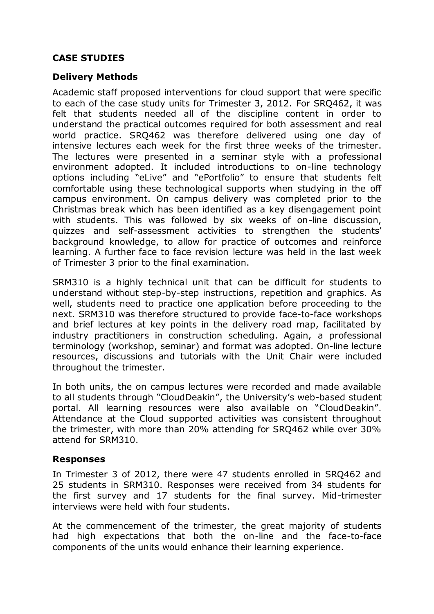#### **CASE STUDIES**

#### **Delivery Methods**

Academic staff proposed interventions for cloud support that were specific to each of the case study units for Trimester 3, 2012. For SRQ462, it was felt that students needed all of the discipline content in order to understand the practical outcomes required for both assessment and real world practice. SRQ462 was therefore delivered using one day of intensive lectures each week for the first three weeks of the trimester. The lectures were presented in a seminar style with a professional environment adopted. It included introductions to on-line technology options including "eLive" and "ePortfolio" to ensure that students felt comfortable using these technological supports when studying in the off campus environment. On campus delivery was completed prior to the Christmas break which has been identified as a key disengagement point with students. This was followed by six weeks of on-line discussion, quizzes and self-assessment activities to strengthen the students' background knowledge, to allow for practice of outcomes and reinforce learning. A further face to face revision lecture was held in the last week of Trimester 3 prior to the final examination.

SRM310 is a highly technical unit that can be difficult for students to understand without step-by-step instructions, repetition and graphics. As well, students need to practice one application before proceeding to the next. SRM310 was therefore structured to provide face-to-face workshops and brief lectures at key points in the delivery road map, facilitated by industry practitioners in construction scheduling. Again, a professional terminology (workshop, seminar) and format was adopted. On-line lecture resources, discussions and tutorials with the Unit Chair were included throughout the trimester.

In both units, the on campus lectures were recorded and made available to all students through "CloudDeakin", the University's web-based student portal. All learning resources were also available on "CloudDeakin". Attendance at the Cloud supported activities was consistent throughout the trimester, with more than 20% attending for SRQ462 while over 30% attend for SRM310.

#### **Responses**

In Trimester 3 of 2012, there were 47 students enrolled in SRQ462 and 25 students in SRM310. Responses were received from 34 students for the first survey and 17 students for the final survey. Mid-trimester interviews were held with four students.

At the commencement of the trimester, the great majority of students had high expectations that both the on-line and the face-to-face components of the units would enhance their learning experience.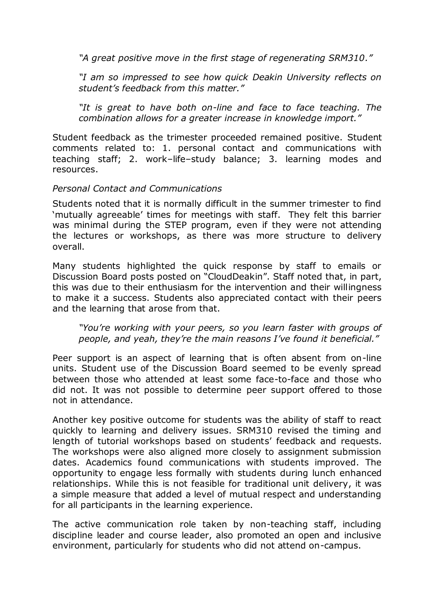*"A great positive move in the first stage of regenerating SRM310."*

*"I am so impressed to see how quick Deakin University reflects on student's feedback from this matter."* 

*"It is great to have both on-line and face to face teaching. The combination allows for a greater increase in knowledge import."* 

Student feedback as the trimester proceeded remained positive. Student comments related to: 1. personal contact and communications with teaching staff; 2. work–life–study balance; 3. learning modes and resources.

#### *Personal Contact and Communications*

Students noted that it is normally difficult in the summer trimester to find 'mutually agreeable' times for meetings with staff. They felt this barrier was minimal during the STEP program, even if they were not attending the lectures or workshops, as there was more structure to delivery overall.

Many students highlighted the quick response by staff to emails or Discussion Board posts posted on "CloudDeakin". Staff noted that, in part, this was due to their enthusiasm for the intervention and their willingness to make it a success. Students also appreciated contact with their peers and the learning that arose from that.

*"You're working with your peers, so you learn faster with groups of people, and yeah, they're the main reasons I've found it beneficial."*

Peer support is an aspect of learning that is often absent from on-line units. Student use of the Discussion Board seemed to be evenly spread between those who attended at least some face-to-face and those who did not. It was not possible to determine peer support offered to those not in attendance.

Another key positive outcome for students was the ability of staff to react quickly to learning and delivery issues. SRM310 revised the timing and length of tutorial workshops based on students' feedback and requests. The workshops were also aligned more closely to assignment submission dates. Academics found communications with students improved. The opportunity to engage less formally with students during lunch enhanced relationships. While this is not feasible for traditional unit delivery, it was a simple measure that added a level of mutual respect and understanding for all participants in the learning experience.

The active communication role taken by non-teaching staff, including discipline leader and course leader, also promoted an open and inclusive environment, particularly for students who did not attend on-campus.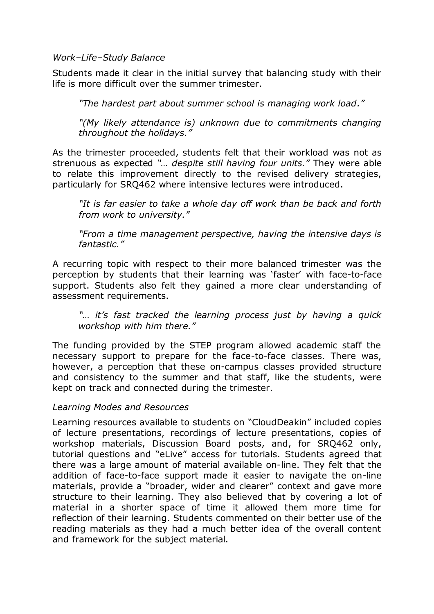#### *Work–Life–Study Balance*

Students made it clear in the initial survey that balancing study with their life is more difficult over the summer trimester.

*"The hardest part about summer school is managing work load."* 

*"(My likely attendance is) unknown due to commitments changing throughout the holidays."*

As the trimester proceeded, students felt that their workload was not as strenuous as expected *"… despite still having four units."* They were able to relate this improvement directly to the revised delivery strategies, particularly for SRQ462 where intensive lectures were introduced.

*"It is far easier to take a whole day off work than be back and forth from work to university."*

*"From a time management perspective, having the intensive days is fantastic."*

A recurring topic with respect to their more balanced trimester was the perception by students that their learning was 'faster' with face-to-face support. Students also felt they gained a more clear understanding of assessment requirements.

*"… it's fast tracked the learning process just by having a quick workshop with him there."* 

The funding provided by the STEP program allowed academic staff the necessary support to prepare for the face-to-face classes. There was, however, a perception that these on-campus classes provided structure and consistency to the summer and that staff, like the students, were kept on track and connected during the trimester.

#### *Learning Modes and Resources*

Learning resources available to students on "CloudDeakin" included copies of lecture presentations, recordings of lecture presentations, copies of workshop materials, Discussion Board posts, and, for SRQ462 only, tutorial questions and "eLive" access for tutorials. Students agreed that there was a large amount of material available on-line. They felt that the addition of face-to-face support made it easier to navigate the on-line materials, provide a "broader, wider and clearer" context and gave more structure to their learning. They also believed that by covering a lot of material in a shorter space of time it allowed them more time for reflection of their learning. Students commented on their better use of the reading materials as they had a much better idea of the overall content and framework for the subject material.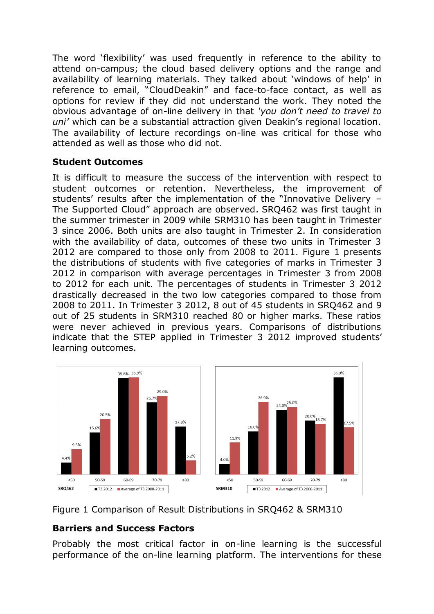The word 'flexibility' was used frequently in reference to the ability to attend on-campus; the cloud based delivery options and the range and availability of learning materials. They talked about 'windows of help' in reference to email, "CloudDeakin" and face-to-face contact, as well as options for review if they did not understand the work. They noted the obvious advantage of on-line delivery in that *'you don't need to travel to uni'* which can be a substantial attraction given Deakin's regional location. The availability of lecture recordings on-line was critical for those who attended as well as those who did not.

# **Student Outcomes**

It is difficult to measure the success of the intervention with respect to student outcomes or retention. Nevertheless, the improvement of students' results after the implementation of the "Innovative Delivery – The Supported Cloud" approach are observed. SRQ462 was first taught in the summer trimester in 2009 while SRM310 has been taught in Trimester 3 since 2006. Both units are also taught in Trimester 2. In consideration with the availability of data, outcomes of these two units in Trimester 3 2012 are compared to those only from 2008 to 2011. Figure 1 presents the distributions of students with five categories of marks in Trimester 3 2012 in comparison with average percentages in Trimester 3 from 2008 to 2012 for each unit. The percentages of students in Trimester 3 2012 drastically decreased in the two low categories compared to those from 2008 to 2011. In Trimester 3 2012, 8 out of 45 students in SRQ462 and 9 out of 25 students in SRM310 reached 80 or higher marks. These ratios were never achieved in previous years. Comparisons of distributions indicate that the STEP applied in Trimester 3 2012 improved students' learning outcomes.





# **Barriers and Success Factors**

Probably the most critical factor in on-line learning is the successful performance of the on-line learning platform. The interventions for these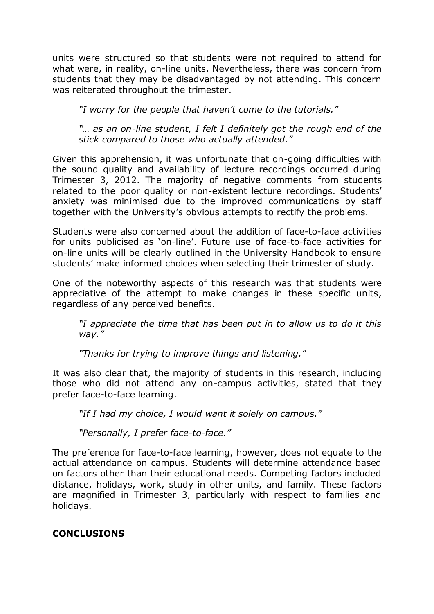units were structured so that students were not required to attend for what were, in reality, on-line units. Nevertheless, there was concern from students that they may be disadvantaged by not attending. This concern was reiterated throughout the trimester.

*"I worry for the people that haven't come to the tutorials."* 

*"… as an on-line student, I felt I definitely got the rough end of the stick compared to those who actually attended."* 

Given this apprehension, it was unfortunate that on-going difficulties with the sound quality and availability of lecture recordings occurred during Trimester 3, 2012. The majority of negative comments from students related to the poor quality or non-existent lecture recordings. Students' anxiety was minimised due to the improved communications by staff together with the University's obvious attempts to rectify the problems.

Students were also concerned about the addition of face-to-face activities for units publicised as 'on-line'. Future use of face-to-face activities for on-line units will be clearly outlined in the University Handbook to ensure students' make informed choices when selecting their trimester of study.

One of the noteworthy aspects of this research was that students were appreciative of the attempt to make changes in these specific units, regardless of any perceived benefits.

*"I appreciate the time that has been put in to allow us to do it this way."* 

*"Thanks for trying to improve things and listening."* 

It was also clear that, the majority of students in this research, including those who did not attend any on-campus activities, stated that they prefer face-to-face learning.

*"If I had my choice, I would want it solely on campus."*

*"Personally, I prefer face-to-face."*

The preference for face-to-face learning, however, does not equate to the actual attendance on campus. Students will determine attendance based on factors other than their educational needs. Competing factors included distance, holidays, work, study in other units, and family. These factors are magnified in Trimester 3, particularly with respect to families and holidays.

# **CONCLUSIONS**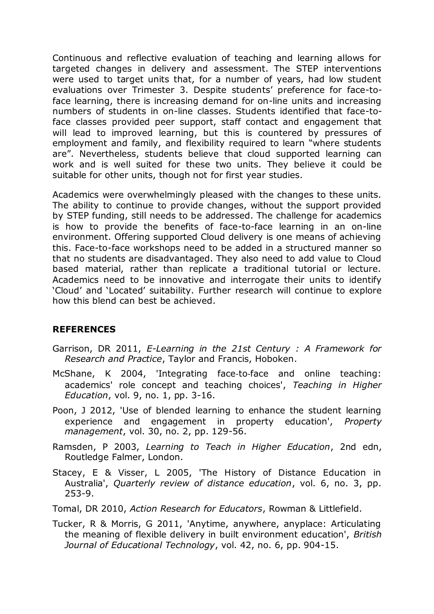Continuous and reflective evaluation of teaching and learning allows for targeted changes in delivery and assessment. The STEP interventions were used to target units that, for a number of years, had low student evaluations over Trimester 3. Despite students' preference for face-toface learning, there is increasing demand for on-line units and increasing numbers of students in on-line classes. Students identified that face-toface classes provided peer support, staff contact and engagement that will lead to improved learning, but this is countered by pressures of employment and family, and flexibility required to learn "where students are". Nevertheless, students believe that cloud supported learning can work and is well suited for these two units. They believe it could be suitable for other units, though not for first year studies.

Academics were overwhelmingly pleased with the changes to these units. The ability to continue to provide changes, without the support provided by STEP funding, still needs to be addressed. The challenge for academics is how to provide the benefits of face-to-face learning in an on-line environment. Offering supported Cloud delivery is one means of achieving this. Face-to-face workshops need to be added in a structured manner so that no students are disadvantaged. They also need to add value to Cloud based material, rather than replicate a traditional tutorial or lecture. Academics need to be innovative and interrogate their units to identify 'Cloud' and 'Located' suitability. Further research will continue to explore how this blend can best be achieved.

#### **REFERENCES**

- Garrison, DR 2011, *E-Learning in the 21st Century : A Framework for Research and Practice*, Taylor and Francis, Hoboken.
- McShane, K 2004, 'Integrating face-to-face and online teaching: academics' role concept and teaching choices', *Teaching in Higher Education*, vol. 9, no. 1, pp. 3-16.
- Poon, J 2012, 'Use of blended learning to enhance the student learning experience and engagement in property education', *Property management*, vol. 30, no. 2, pp. 129-56.
- Ramsden, P 2003, *Learning to Teach in Higher Education*, 2nd edn, Routledge Falmer, London.
- Stacey, E & Visser, L 2005, 'The History of Distance Education in Australia', *Quarterly review of distance education*, vol. 6, no. 3, pp. 253-9.

Tomal, DR 2010, *Action Research for Educators*, Rowman & Littlefield.

Tucker, R & Morris, G 2011, 'Anytime, anywhere, anyplace: Articulating the meaning of flexible delivery in built environment education', *British Journal of Educational Technology*, vol. 42, no. 6, pp. 904-15.